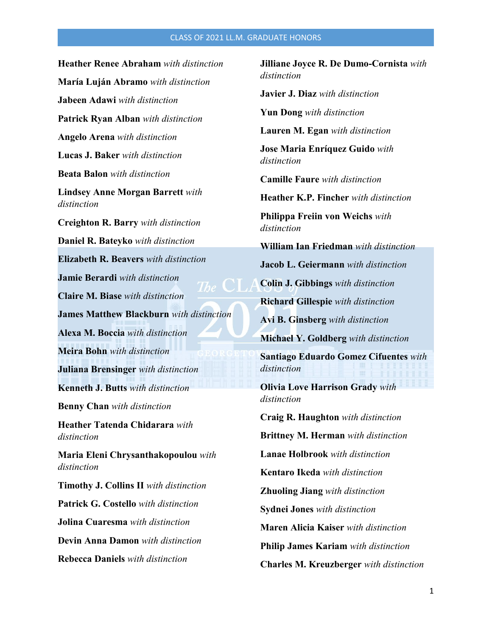## CLASS OF 2021 LL.M. GRADUATE HONORS

**Heather Renee Abraham** *with distinction* **María Luján Abramo** *with distinction* **Jabeen Adawi** *with distinction* **Patrick Ryan Alban** *with distinction* **Angelo Arena** *with distinction* **Lucas J. Baker** *with distinction* **Beata Balon** *with distinction* **Lindsey Anne Morgan Barrett** *with distinction* **Creighton R. Barry** *with distinction* **Daniel R. Bateyko** *with distinction* **Elizabeth R. Beavers** *with distinction* **Jamie Berardi** *with distinction* **Claire M. Biase** *with distinction* **James Matthew Blackburn** *with distinction* **Alexa M. Boccia** *with distinction* **Meira Bohn** *with distinction* **Juliana Brensinger** *with distinction* **Kenneth J. Butts** *with distinction* **Benny Chan** *with distinction* **Heather Tatenda Chidarara** *with distinction* **Maria Eleni Chrysanthakopoulou** *with distinction* **Timothy J. Collins II** *with distinction* **Patrick G. Costello** *with distinction* **Jolina Cuaresma** *with distinction* **Devin Anna Damon** *with distinction* **Rebecca Daniels** *with distinction*

**Jilliane Joyce R. De Dumo-Cornista** *with distinction*

**Javier J. Diaz** *with distinction*

**Yun Dong** *with distinction*

**Lauren M. Egan** *with distinction*

**Jose Maria Enríquez Guido** *with distinction*

**Camille Faure** *with distinction*

**Heather K.P. Fincher** *with distinction*

**Philippa Freiin von Weichs** *with distinction*

**William Ian Friedman** *with distinction*

**Jacob L. Geiermann** *with distinction*

**Colin J. Gibbings** *with distinction*

**Richard Gillespie** *with distinction*

**Avi B. Ginsberg** *with distinction*

**Michael Y. Goldberg** *with distinction*

**Santiago Eduardo Gomez Cifuentes** *with distinction*

**Olivia Love Harrison Grady** *with distinction*

**Craig R. Haughton** *with distinction* **Brittney M. Herman** *with distinction* **Lanae Holbrook** *with distinction* **Kentaro Ikeda** *with distinction* **Zhuoling Jiang** *with distinction* **Sydnei Jones** *with distinction* **Maren Alicia Kaiser** *with distinction* **Philip James Kariam** *with distinction* **Charles M. Kreuzberger** *with distinction*